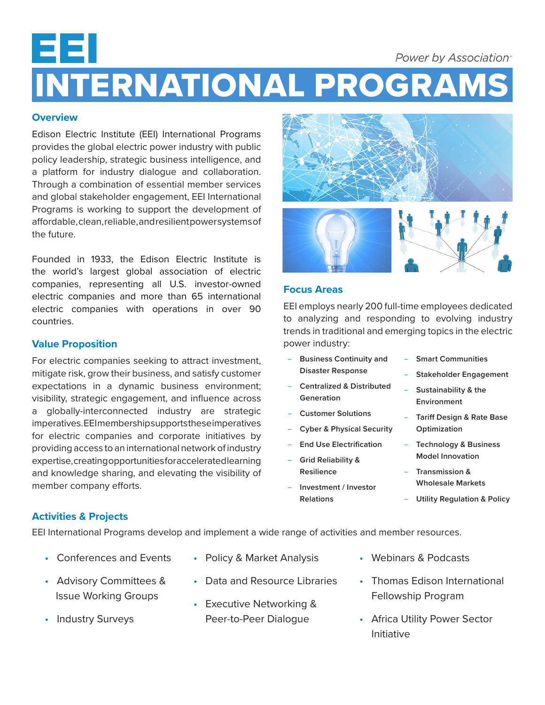# ᄇ **Power by Association**<sup>®</sup> INTERNATIONAL PROGRAMS

## **Overview**

Edison Electric Institute (EEI) International Programs provides the global electric power industry with public policy leadership, strategic business intelligence, and a platform for industry dialogue and collaboration. Through a combination of essential member services and global stakeholder engagement, EEI International Programs is working to support the development of affordable, clean, reliable, and resilient power systems of the future.

Founded in 1933, the Edison Electric Institute is the world's largest global association of electric companies, representing all U.S. investor-owned electric companies and more than 65 international electric companies with operations in over 90 countries.

## **Value Proposition**

For electric companies seeking to attract investment, mitigate risk, grow their business, and satisfy customer expectations in a dynamic business environment; visibility, strategic engagement, and influence across a globally-interconnected industry are strategic imperatives. EEI membership supports these imperatives for electric companies and corporate initiatives by providing access to an international network of industry expertise, creating opportunities for accelerated learning and knowledge sharing, and elevating the visibility of member company efforts.



### **Focus Areas**

EEI employs nearly 200 full-time employees dedicated to analyzing and responding to evolving industry trends in traditional and emerging topics in the electric power industry:

- **Business Continuity and Disaster Response**
- **Centralized & Distributed Generation**
- **Customer Solutions**
- **Cyber & Physical Security**
- **End Use Electrification**
- **Grid Reliability & Resilience**
- **Investment / Investor Relations**
- **Smart Communities**
- **Stakeholder Engagement**
- **Sustainability & the Environment**
- **Tariff Design & Rate Base Optimization**
- **Technology & Business Model Innovation**
- **Transmission & Wholesale Markets**
- **Utility Regulation & Policy**

## **Activities & Projects**

EEI International Programs develop and implement a wide range of activities and member resources.

- Conferences and Events
- Advisory Committees & Issue Working Groups
- Industry Surveys
- Policy & Market Analysis
- Data and Resource Libraries
- Executive Networking & Peer-to-Peer Dialogue
- Webinars & Podcasts
- Thomas Edison International Fellowship Program
- Africa Utility Power Sector Initiative